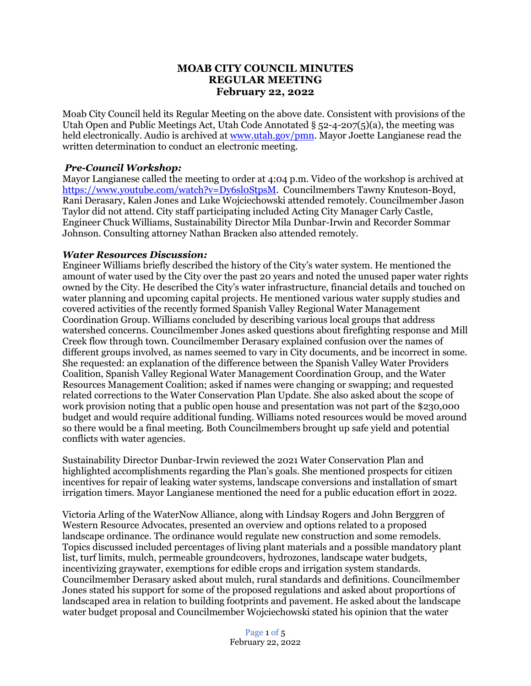## **MOAB CITY COUNCIL MINUTES REGULAR MEETING February 22, 2022**

Moab City Council held its Regular Meeting on the above date. Consistent with provisions of the Utah Open and Public Meetings Act, Utah Code Annotated  $\S$  52-4-207(5)(a), the meeting was held electronically. Audio is archived at [www.utah.gov/pmn.](about:blank) Mayor Joette Langianese read the written determination to conduct an electronic meeting.

### *Pre-Council Workshop:*

Mayor Langianese called the meeting to order at 4:04 p.m. Video of the workshop is archived at [https://www.youtube.com/watch?v=Dy6sl0StpsM.](https://www.youtube.com/watch?v=Dy6sl0StpsM) Councilmembers Tawny Knuteson-Boyd, Rani Derasary, Kalen Jones and Luke Wojciechowski attended remotely. Councilmember Jason Taylor did not attend. City staff participating included Acting City Manager Carly Castle, Engineer Chuck Williams, Sustainability Director Mila Dunbar-Irwin and Recorder Sommar Johnson. Consulting attorney Nathan Bracken also attended remotely.

#### *Water Resources Discussion:*

Engineer Williams briefly described the history of the City's water system. He mentioned the amount of water used by the City over the past 20 years and noted the unused paper water rights owned by the City. He described the City's water infrastructure, financial details and touched on water planning and upcoming capital projects. He mentioned various water supply studies and covered activities of the recently formed Spanish Valley Regional Water Management Coordination Group. Williams concluded by describing various local groups that address watershed concerns. Councilmember Jones asked questions about firefighting response and Mill Creek flow through town. Councilmember Derasary explained confusion over the names of different groups involved, as names seemed to vary in City documents, and be incorrect in some. She requested: an explanation of the difference between the Spanish Valley Water Providers Coalition, Spanish Valley Regional Water Management Coordination Group, and the Water Resources Management Coalition; asked if names were changing or swapping; and requested related corrections to the Water Conservation Plan Update. She also asked about the scope of work provision noting that a public open house and presentation was not part of the \$230,000 budget and would require additional funding. Williams noted resources would be moved around so there would be a final meeting. Both Councilmembers brought up safe yield and potential conflicts with water agencies.

Sustainability Director Dunbar-Irwin reviewed the 2021 Water Conservation Plan and highlighted accomplishments regarding the Plan's goals. She mentioned prospects for citizen incentives for repair of leaking water systems, landscape conversions and installation of smart irrigation timers. Mayor Langianese mentioned the need for a public education effort in 2022.

Victoria Arling of the WaterNow Alliance, along with Lindsay Rogers and John Berggren of Western Resource Advocates, presented an overview and options related to a proposed landscape ordinance. The ordinance would regulate new construction and some remodels. Topics discussed included percentages of living plant materials and a possible mandatory plant list, turf limits, mulch, permeable groundcovers, hydrozones, landscape water budgets, incentivizing graywater, exemptions for edible crops and irrigation system standards. Councilmember Derasary asked about mulch, rural standards and definitions. Councilmember Jones stated his support for some of the proposed regulations and asked about proportions of landscaped area in relation to building footprints and pavement. He asked about the landscape water budget proposal and Councilmember Wojciechowski stated his opinion that the water

> Page 1 of 5 February 22, 2022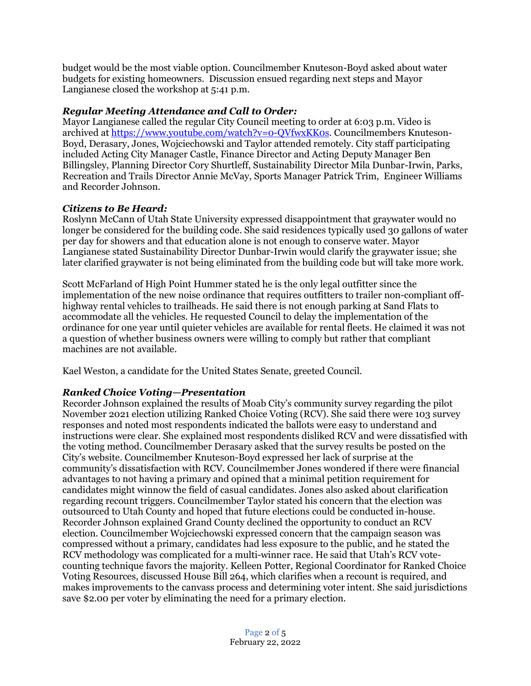budget would be the most viable option. Councilmember Knuteson-Boyd asked about water budgets for existing homeowners. Discussion ensued regarding next steps and Mayor Langianese closed the workshop at 5:41 p.m.

### *Regular Meeting Attendance and Call to Order:*

Mayor Langianese called the regular City Council meeting to order at 6:03 p.m. Video is archived at [https://www.youtube.com/watch?v=0-QVfwxKK0s.](https://www.youtube.com/watch?v=0-QVfwxKK0s) Councilmembers Knuteson-Boyd, Derasary, Jones, Wojciechowski and Taylor attended remotely. City staff participating included Acting City Manager Castle, Finance Director and Acting Deputy Manager Ben Billingsley, Planning Director Cory Shurtleff, Sustainability Director Mila Dunbar-Irwin, Parks, Recreation and Trails Director Annie McVay, Sports Manager Patrick Trim, Engineer Williams and Recorder Johnson.

## *Citizens to Be Heard:*

Roslynn McCann of Utah State University expressed disappointment that graywater would no longer be considered for the building code. She said residences typically used 30 gallons of water per day for showers and that education alone is not enough to conserve water. Mayor Langianese stated Sustainability Director Dunbar-Irwin would clarify the graywater issue; she later clarified graywater is not being eliminated from the building code but will take more work.

Scott McFarland of High Point Hummer stated he is the only legal outfitter since the implementation of the new noise ordinance that requires outfitters to trailer non-compliant offhighway rental vehicles to trailheads. He said there is not enough parking at Sand Flats to accommodate all the vehicles. He requested Council to delay the implementation of the ordinance for one year until quieter vehicles are available for rental fleets. He claimed it was not a question of whether business owners were willing to comply but rather that compliant machines are not available.

Kael Weston, a candidate for the United States Senate, greeted Council.

### *Ranked Choice Voting—Presentation*

Recorder Johnson explained the results of Moab City's community survey regarding the pilot November 2021 election utilizing Ranked Choice Voting (RCV). She said there were 103 survey responses and noted most respondents indicated the ballots were easy to understand and instructions were clear. She explained most respondents disliked RCV and were dissatisfied with the voting method. Councilmember Derasary asked that the survey results be posted on the City's website. Councilmember Knuteson-Boyd expressed her lack of surprise at the community's dissatisfaction with RCV. Councilmember Jones wondered if there were financial advantages to not having a primary and opined that a minimal petition requirement for candidates might winnow the field of casual candidates. Jones also asked about clarification regarding recount triggers. Councilmember Taylor stated his concern that the election was outsourced to Utah County and hoped that future elections could be conducted in-house. Recorder Johnson explained Grand County declined the opportunity to conduct an RCV election. Councilmember Wojciechowski expressed concern that the campaign season was compressed without a primary, candidates had less exposure to the public, and he stated the RCV methodology was complicated for a multi-winner race. He said that Utah's RCV votecounting technique favors the majority. Kelleen Potter, Regional Coordinator for Ranked Choice Voting Resources, discussed House Bill 264, which clarifies when a recount is required, and makes improvements to the canvass process and determining voter intent. She said jurisdictions save \$2.00 per voter by eliminating the need for a primary election.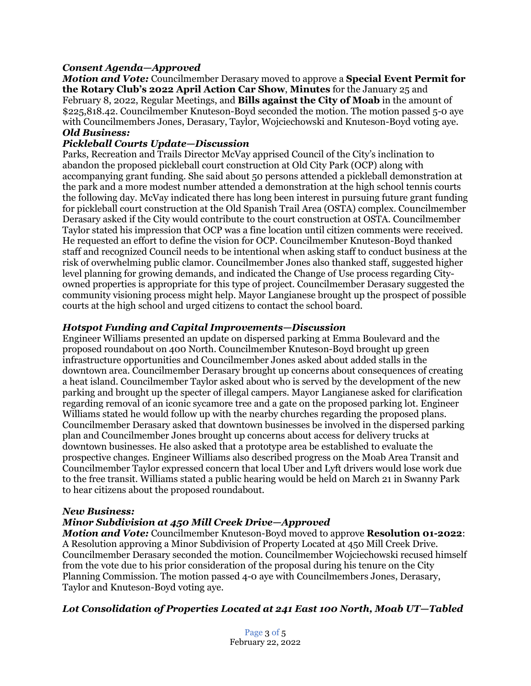## *Consent Agenda—Approved*

*Motion and Vote:* Councilmember Derasary moved to approve a **Special Event Permit for the Rotary Club's 2022 April Action Car Show**, **Minutes** for the January 25 and February 8, 2022, Regular Meetings, and **Bills against the City of Moab** in the amount of \$225,818.42. Councilmember Knuteson-Boyd seconded the motion. The motion passed 5-0 aye with Councilmembers Jones, Derasary, Taylor, Wojciechowski and Knuteson-Boyd voting aye. *Old Business:*

### *Pickleball Courts Update—Discussion*

Parks, Recreation and Trails Director McVay apprised Council of the City's inclination to abandon the proposed pickleball court construction at Old City Park (OCP) along with accompanying grant funding. She said about 50 persons attended a pickleball demonstration at the park and a more modest number attended a demonstration at the high school tennis courts the following day. McVay indicated there has long been interest in pursuing future grant funding for pickleball court construction at the Old Spanish Trail Area (OSTA) complex. Councilmember Derasary asked if the City would contribute to the court construction at OSTA. Councilmember Taylor stated his impression that OCP was a fine location until citizen comments were received. He requested an effort to define the vision for OCP. Councilmember Knuteson-Boyd thanked staff and recognized Council needs to be intentional when asking staff to conduct business at the risk of overwhelming public clamor. Councilmember Jones also thanked staff, suggested higher level planning for growing demands, and indicated the Change of Use process regarding Cityowned properties is appropriate for this type of project. Councilmember Derasary suggested the community visioning process might help. Mayor Langianese brought up the prospect of possible courts at the high school and urged citizens to contact the school board.

## *Hotspot Funding and Capital Improvements—Discussion*

Engineer Williams presented an update on dispersed parking at Emma Boulevard and the proposed roundabout on 400 North. Councilmember Knuteson-Boyd brought up green infrastructure opportunities and Councilmember Jones asked about added stalls in the downtown area. Councilmember Derasary brought up concerns about consequences of creating a heat island. Councilmember Taylor asked about who is served by the development of the new parking and brought up the specter of illegal campers. Mayor Langianese asked for clarification regarding removal of an iconic sycamore tree and a gate on the proposed parking lot. Engineer Williams stated he would follow up with the nearby churches regarding the proposed plans. Councilmember Derasary asked that downtown businesses be involved in the dispersed parking plan and Councilmember Jones brought up concerns about access for delivery trucks at downtown businesses. He also asked that a prototype area be established to evaluate the prospective changes. Engineer Williams also described progress on the Moab Area Transit and Councilmember Taylor expressed concern that local Uber and Lyft drivers would lose work due to the free transit. Williams stated a public hearing would be held on March 21 in Swanny Park to hear citizens about the proposed roundabout.

### *New Business:*

# *Minor Subdivision at 450 Mill Creek Drive—Approved*

*Motion and Vote:* Councilmember Knuteson-Boyd moved to approve **Resolution 01-2022**: A Resolution approving a Minor Subdivision of Property Located at 450 Mill Creek Drive. Councilmember Derasary seconded the motion. Councilmember Wojciechowski recused himself from the vote due to his prior consideration of the proposal during his tenure on the City Planning Commission. The motion passed 4-0 aye with Councilmembers Jones, Derasary, Taylor and Knuteson-Boyd voting aye.

# *Lot Consolidation of Properties Located at 241 East 100 North, Moab UT—Tabled*

Page 3 of 5 February 22, 2022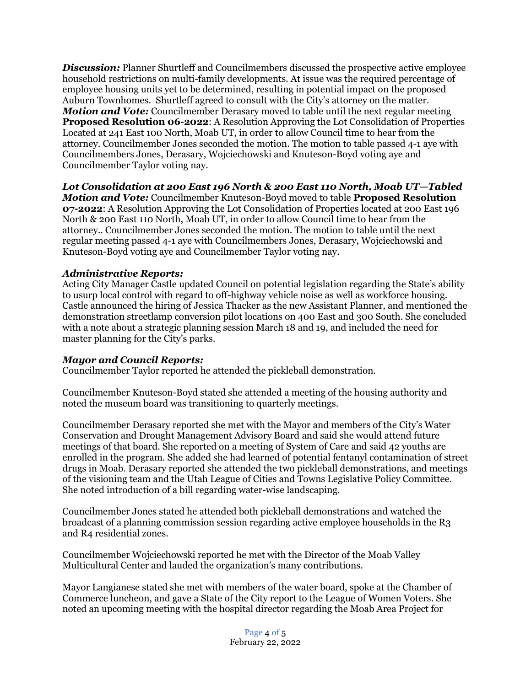*Discussion:* Planner Shurtleff and Councilmembers discussed the prospective active employee household restrictions on multi-family developments. At issue was the required percentage of employee housing units yet to be determined, resulting in potential impact on the proposed Auburn Townhomes. Shurtleff agreed to consult with the City's attorney on the matter. *Motion and Vote:* Councilmember Derasary moved to table until the next regular meeting **Proposed Resolution 06-2022**: A Resolution Approving the Lot Consolidation of Properties Located at 241 East 100 North, Moab UT, in order to allow Council time to hear from the attorney. Councilmember Jones seconded the motion. The motion to table passed 4-1 aye with Councilmembers Jones, Derasary, Wojciechowski and Knuteson-Boyd voting aye and Councilmember Taylor voting nay.

*Lot Consolidation at 200 East 196 North & 200 East 110 North, Moab UT—Tabled Motion and Vote:* Councilmember Knuteson-Boyd moved to table **Proposed Resolution 07-2022**: A Resolution Approving the Lot Consolidation of Properties located at 200 East 196 North & 200 East 110 North, Moab UT, in order to allow Council time to hear from the attorney.. Councilmember Jones seconded the motion. The motion to table until the next regular meeting passed 4-1 aye with Councilmembers Jones, Derasary, Wojciechowski and Knuteson-Boyd voting aye and Councilmember Taylor voting nay.

## *Administrative Reports:*

Acting City Manager Castle updated Council on potential legislation regarding the State's ability to usurp local control with regard to off-highway vehicle noise as well as workforce housing. Castle announced the hiring of Jessica Thacker as the new Assistant Planner, and mentioned the demonstration streetlamp conversion pilot locations on 400 East and 300 South. She concluded with a note about a strategic planning session March 18 and 19, and included the need for master planning for the City's parks.

### *Mayor and Council Reports:*

Councilmember Taylor reported he attended the pickleball demonstration.

Councilmember Knuteson-Boyd stated she attended a meeting of the housing authority and noted the museum board was transitioning to quarterly meetings.

Councilmember Derasary reported she met with the Mayor and members of the City's Water Conservation and Drought Management Advisory Board and said she would attend future meetings of that board. She reported on a meeting of System of Care and said 42 youths are enrolled in the program. She added she had learned of potential fentanyl contamination of street drugs in Moab. Derasary reported she attended the two pickleball demonstrations, and meetings of the visioning team and the Utah League of Cities and Towns Legislative Policy Committee. She noted introduction of a bill regarding water-wise landscaping.

Councilmember Jones stated he attended both pickleball demonstrations and watched the broadcast of a planning commission session regarding active employee households in the R3 and R4 residential zones.

Councilmember Wojciechowski reported he met with the Director of the Moab Valley Multicultural Center and lauded the organization's many contributions.

Mayor Langianese stated she met with members of the water board, spoke at the Chamber of Commerce luncheon, and gave a State of the City report to the League of Women Voters. She noted an upcoming meeting with the hospital director regarding the Moab Area Project for